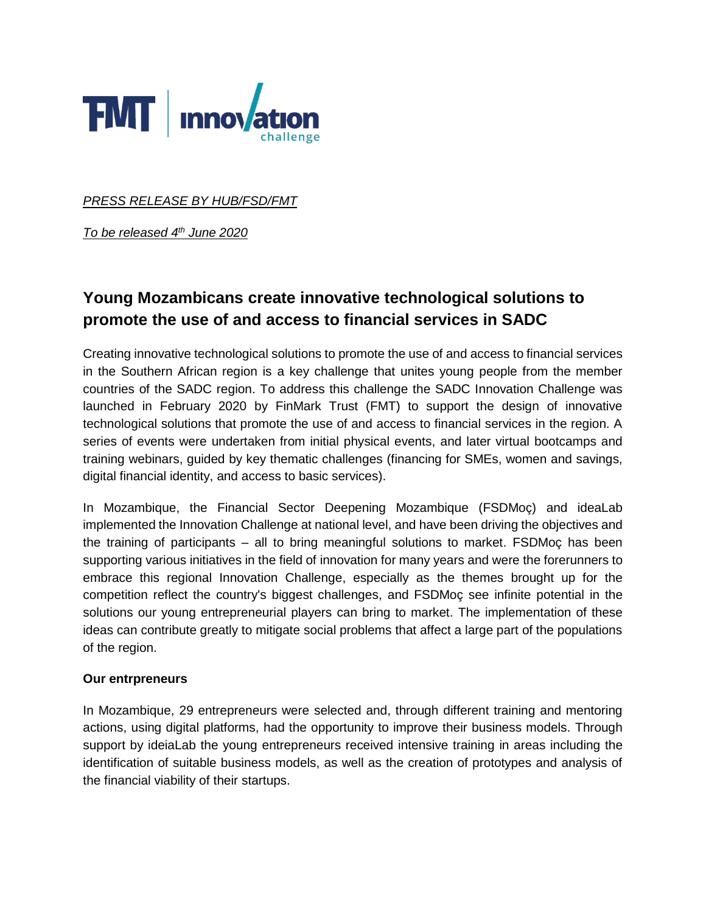

*PRESS RELEASE BY HUB/FSD/FMT*

*To be released 4th June 2020*

# **Young Mozambicans create innovative technological solutions to promote the use of and access to financial services in SADC**

Creating innovative technological solutions to promote the use of and access to financial services in the Southern African region is a key challenge that unites young people from the member countries of the SADC region. To address this challenge the SADC Innovation Challenge was launched in February 2020 by FinMark Trust (FMT) to support the design of innovative technological solutions that promote the use of and access to financial services in the region. A series of events were undertaken from initial physical events, and later virtual bootcamps and training webinars, guided by key thematic challenges (financing for SMEs, women and savings, digital financial identity, and access to basic services).

In Mozambique, the Financial Sector Deepening Mozambique (FSDMoç) and ideaLab implemented the Innovation Challenge at national level, and have been driving the objectives and the training of participants – all to bring meaningful solutions to market. FSDMoç has been supporting various initiatives in the field of innovation for many years and were the forerunners to embrace this regional Innovation Challenge, especially as the themes brought up for the competition reflect the country's biggest challenges, and FSDMoç see infinite potential in the solutions our young entrepreneurial players can bring to market. The implementation of these ideas can contribute greatly to mitigate social problems that affect a large part of the populations of the region.

#### **Our entrpreneurs**

In Mozambique, 29 entrepreneurs were selected and, through different training and mentoring actions, using digital platforms, had the opportunity to improve their business models. Through support by ideiaLab the young entrepreneurs received intensive training in areas including the identification of suitable business models, as well as the creation of prototypes and analysis of the financial viability of their startups.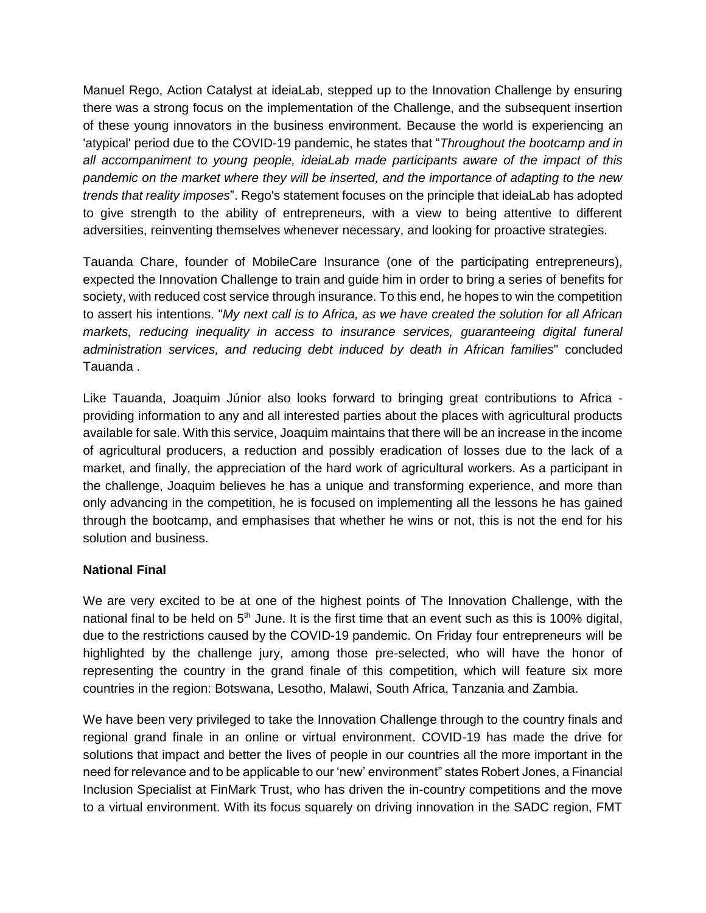Manuel Rego, Action Catalyst at ideiaLab, stepped up to the Innovation Challenge by ensuring there was a strong focus on the implementation of the Challenge, and the subsequent insertion of these young innovators in the business environment. Because the world is experiencing an 'atypical' period due to the COVID-19 pandemic, he states that "*Throughout the bootcamp and in all accompaniment to young people, ideiaLab made participants aware of the impact of this pandemic on the market where they will be inserted, and the importance of adapting to the new trends that reality imposes*". Rego's statement focuses on the principle that ideiaLab has adopted to give strength to the ability of entrepreneurs, with a view to being attentive to different adversities, reinventing themselves whenever necessary, and looking for proactive strategies.

Tauanda Chare, founder of MobileCare Insurance (one of the participating entrepreneurs), expected the Innovation Challenge to train and guide him in order to bring a series of benefits for society, with reduced cost service through insurance. To this end, he hopes to win the competition to assert his intentions. "*My next call is to Africa, as we have created the solution for all African markets, reducing inequality in access to insurance services, guaranteeing digital funeral administration services, and reducing debt induced by death in African families*" concluded Tauanda .

Like Tauanda, Joaquim Júnior also looks forward to bringing great contributions to Africa providing information to any and all interested parties about the places with agricultural products available for sale. With this service, Joaquim maintains that there will be an increase in the income of agricultural producers, a reduction and possibly eradication of losses due to the lack of a market, and finally, the appreciation of the hard work of agricultural workers. As a participant in the challenge, Joaquim believes he has a unique and transforming experience, and more than only advancing in the competition, he is focused on implementing all the lessons he has gained through the bootcamp, and emphasises that whether he wins or not, this is not the end for his solution and business.

## **National Final**

We are very excited to be at one of the highest points of The Innovation Challenge, with the national final to be held on  $5<sup>th</sup>$  June. It is the first time that an event such as this is 100% digital, due to the restrictions caused by the COVID-19 pandemic. On Friday four entrepreneurs will be highlighted by the challenge jury, among those pre-selected, who will have the honor of representing the country in the grand finale of this competition, which will feature six more countries in the region: Botswana, Lesotho, Malawi, South Africa, Tanzania and Zambia.

We have been very privileged to take the Innovation Challenge through to the country finals and regional grand finale in an online or virtual environment. COVID-19 has made the drive for solutions that impact and better the lives of people in our countries all the more important in the need for relevance and to be applicable to our 'new' environment" states Robert Jones, a Financial Inclusion Specialist at FinMark Trust, who has driven the in-country competitions and the move to a virtual environment. With its focus squarely on driving innovation in the SADC region, FMT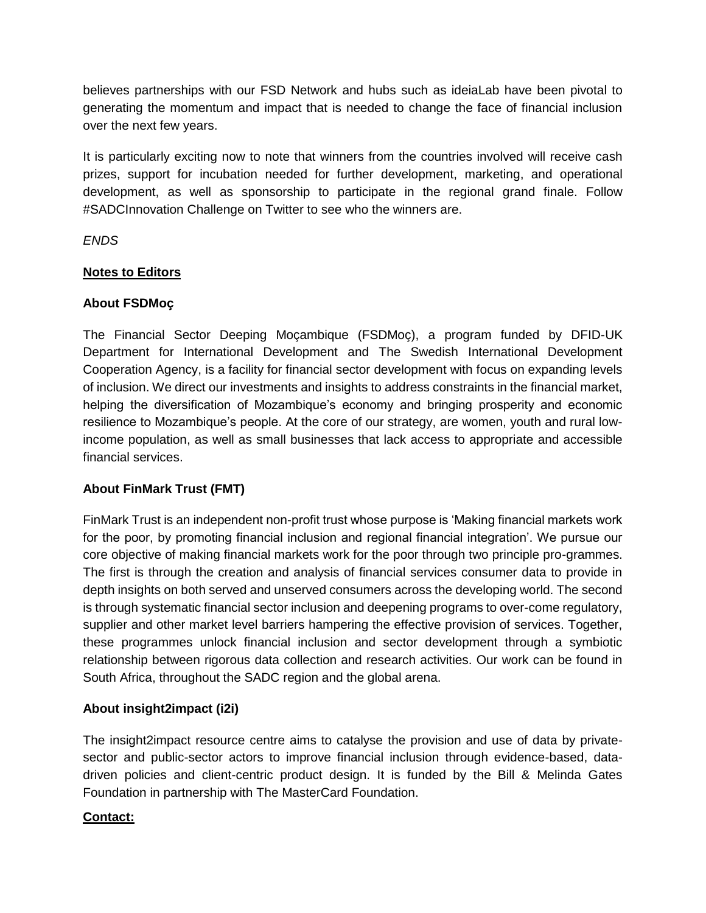believes partnerships with our FSD Network and hubs such as ideiaLab have been pivotal to generating the momentum and impact that is needed to change the face of financial inclusion over the next few years.

It is particularly exciting now to note that winners from the countries involved will receive cash prizes, support for incubation needed for further development, marketing, and operational development, as well as sponsorship to participate in the regional grand finale. Follow #SADCInnovation Challenge on Twitter to see who the winners are.

*ENDS*

## **Notes to Editors**

### **About FSDMoç**

The Financial Sector Deeping Moçambique (FSDMoç), a program funded by DFID-UK Department for International Development and The Swedish International Development Cooperation Agency, is a facility for financial sector development with focus on expanding levels of inclusion. We direct our investments and insights to address constraints in the financial market, helping the diversification of Mozambique's economy and bringing prosperity and economic resilience to Mozambique's people. At the core of our strategy, are women, youth and rural lowincome population, as well as small businesses that lack access to appropriate and accessible financial services.

## **About FinMark Trust (FMT)**

FinMark Trust is an independent non-profit trust whose purpose is 'Making financial markets work for the poor, by promoting financial inclusion and regional financial integration'. We pursue our core objective of making financial markets work for the poor through two principle pro-grammes. The first is through the creation and analysis of financial services consumer data to provide in depth insights on both served and unserved consumers across the developing world. The second is through systematic financial sector inclusion and deepening programs to over-come regulatory, supplier and other market level barriers hampering the effective provision of services. Together, these programmes unlock financial inclusion and sector development through a symbiotic relationship between rigorous data collection and research activities. Our work can be found in South Africa, throughout the SADC region and the global arena.

## **About insight2impact (i2i)**

The insight2impact resource centre aims to catalyse the provision and use of data by privatesector and public-sector actors to improve financial inclusion through evidence-based, datadriven policies and client-centric product design. It is funded by the Bill & Melinda Gates Foundation in partnership with The MasterCard Foundation.

## **Contact:**